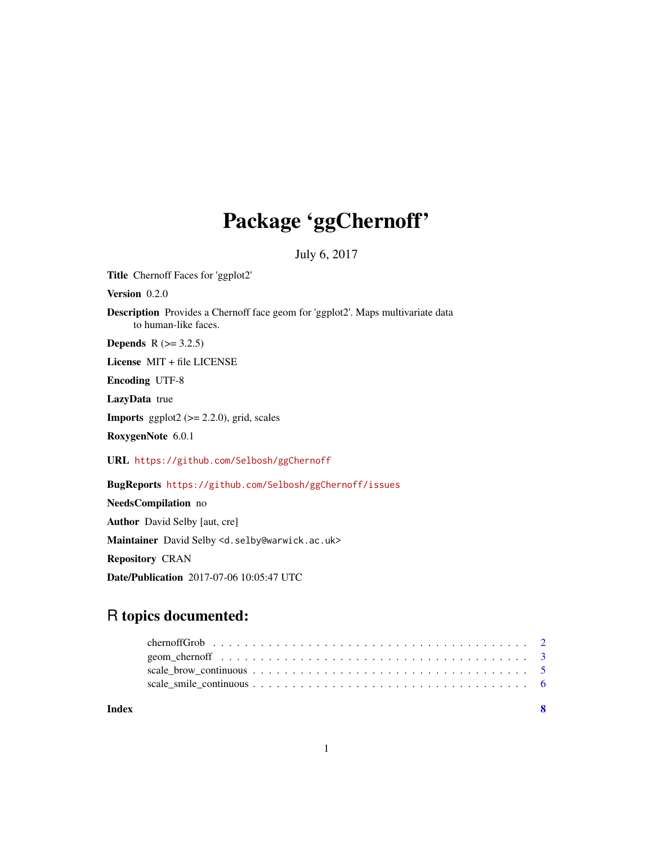# Package 'ggChernoff'

July 6, 2017

<span id="page-0-0"></span>Title Chernoff Faces for 'ggplot2'

Version 0.2.0

Description Provides a Chernoff face geom for 'ggplot2'. Maps multivariate data to human-like faces.

**Depends**  $R$  ( $>= 3.2.5$ )

License MIT + file LICENSE

Encoding UTF-8

LazyData true

**Imports** ggplot2  $(>= 2.2.0)$ , grid, scales

RoxygenNote 6.0.1

URL <https://github.com/Selbosh/ggChernoff>

BugReports <https://github.com/Selbosh/ggChernoff/issues>

NeedsCompilation no Author David Selby [aut, cre] Maintainer David Selby <d.selby@warwick.ac.uk> Repository CRAN Date/Publication 2017-07-06 10:05:47 UTC

# R topics documented:

| Index | - 8                                                                                                        |  |
|-------|------------------------------------------------------------------------------------------------------------|--|
|       |                                                                                                            |  |
|       |                                                                                                            |  |
|       | geom chernoff $\ldots \ldots \ldots \ldots \ldots \ldots \ldots \ldots \ldots \ldots \ldots \ldots \ldots$ |  |
|       |                                                                                                            |  |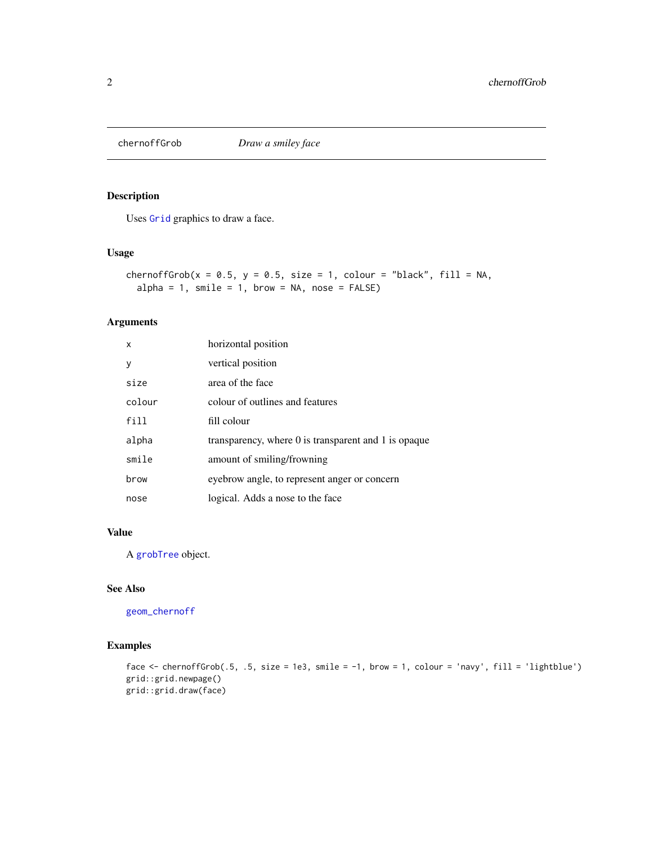<span id="page-1-1"></span><span id="page-1-0"></span>

# Description

Uses [Grid](#page-0-0) graphics to draw a face.

# Usage

```
chernoffGrob(x = 0.5, y = 0.5, size = 1, colour = "black", fill = NA,
  alpha = 1, smile = 1, brown = NA, nose = FALSE)
```
# Arguments

| x      | horizontal position                                    |
|--------|--------------------------------------------------------|
| V      | vertical position                                      |
| size   | area of the face                                       |
| colour | colour of outlines and features                        |
| fill   | fill colour                                            |
| alpha  | transparency, where $0$ is transparent and 1 is opaque |
| smile  | amount of smiling/frowning                             |
| brow   | eyebrow angle, to represent anger or concern           |
| nose   | logical. Adds a nose to the face                       |

# Value

A [grobTree](#page-0-0) object.

#### See Also

[geom\\_chernoff](#page-2-1)

```
face \le - chernoffGrob(.5, .5, size = 1e3, smile = -1, brow = 1, colour = 'navy', fill = 'lightblue')
grid::grid.newpage()
grid::grid.draw(face)
```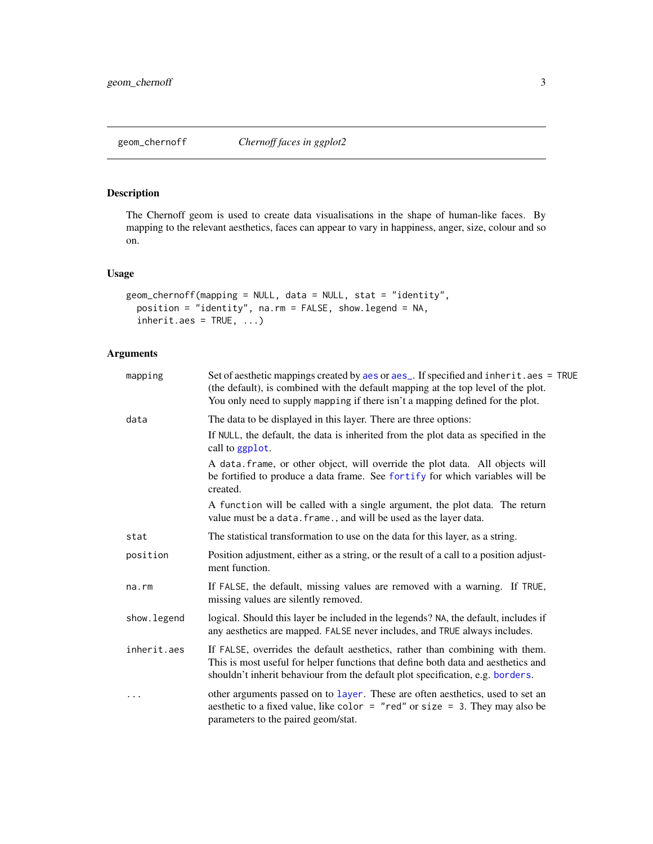# <span id="page-2-1"></span><span id="page-2-0"></span>Description

The Chernoff geom is used to create data visualisations in the shape of human-like faces. By mapping to the relevant aesthetics, faces can appear to vary in happiness, anger, size, colour and so on.

# Usage

```
geom_chernoff(mapping = NULL, data = NULL, stat = "identity",
 position = "identity", na.rm = FALSE, show.legend = NA,
  inherit.aes = TRUE, ...
```
# Arguments

| mapping     | Set of aesthetic mappings created by aes or aes_. If specified and inherit.aes = TRUE<br>(the default), is combined with the default mapping at the top level of the plot.<br>You only need to supply mapping if there isn't a mapping defined for the plot. |
|-------------|--------------------------------------------------------------------------------------------------------------------------------------------------------------------------------------------------------------------------------------------------------------|
| data        | The data to be displayed in this layer. There are three options:                                                                                                                                                                                             |
|             | If NULL, the default, the data is inherited from the plot data as specified in the<br>call to ggplot.                                                                                                                                                        |
|             | A data frame, or other object, will override the plot data. All objects will<br>be fortified to produce a data frame. See fortify for which variables will be<br>created.                                                                                    |
|             | A function will be called with a single argument, the plot data. The return<br>value must be a data. frame., and will be used as the layer data.                                                                                                             |
| stat        | The statistical transformation to use on the data for this layer, as a string.                                                                                                                                                                               |
| position    | Position adjustment, either as a string, or the result of a call to a position adjust-<br>ment function.                                                                                                                                                     |
| na.rm       | If FALSE, the default, missing values are removed with a warning. If TRUE,<br>missing values are silently removed.                                                                                                                                           |
| show.legend | logical. Should this layer be included in the legends? NA, the default, includes if<br>any aesthetics are mapped. FALSE never includes, and TRUE always includes.                                                                                            |
| inherit.aes | If FALSE, overrides the default aesthetics, rather than combining with them.<br>This is most useful for helper functions that define both data and aesthetics and<br>shouldn't inherit behaviour from the default plot specification, e.g. borders.          |
| $\cdots$    | other arguments passed on to layer. These are often aesthetics, used to set an<br>aesthetic to a fixed value, like color = "red" or size = 3. They may also be<br>parameters to the paired geom/stat.                                                        |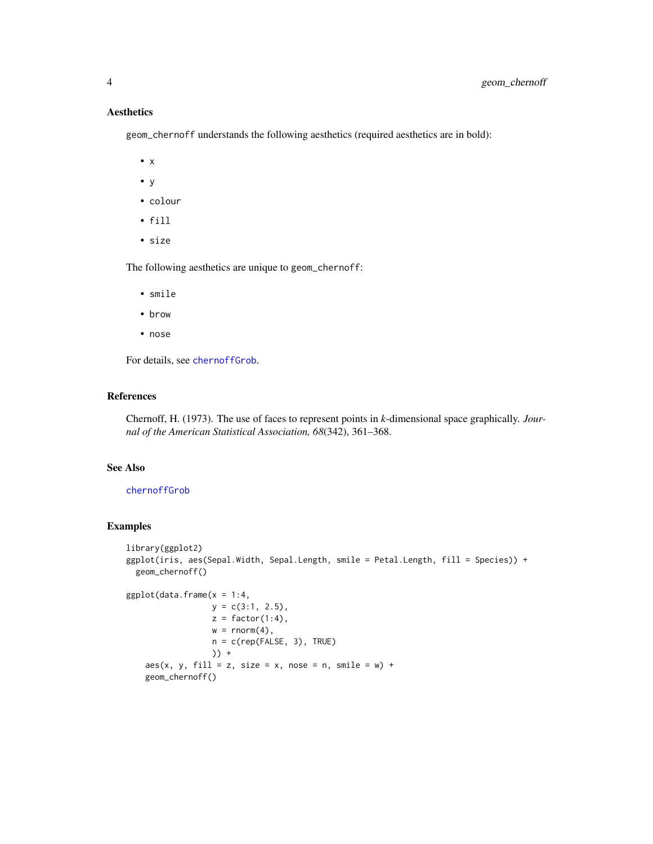# <span id="page-3-0"></span>Aesthetics

geom\_chernoff understands the following aesthetics (required aesthetics are in bold):

- x
- y
- colour
- fill
- size

The following aesthetics are unique to geom\_chernoff:

- smile
- brow
- nose

For details, see [chernoffGrob](#page-1-1).

#### References

Chernoff, H. (1973). The use of faces to represent points in *k*-dimensional space graphically. *Journal of the American Statistical Association, 68*(342), 361–368.

#### See Also

### [chernoffGrob](#page-1-1)

```
library(ggplot2)
ggplot(iris, aes(Sepal.Width, Sepal.Length, smile = Petal.Length, fill = Species)) +
  geom_chernoff()
ggplot(data frame(x = 1:4,y = c(3:1, 2.5),
                 z = factor(1:4),
                 w = rnorm(4),
                 n = c(rep(FALSE, 3), TRUE)
                 )) +
    aes(x, y, fill = z, size = x, nose = n, smile = w) +geom_chernoff()
```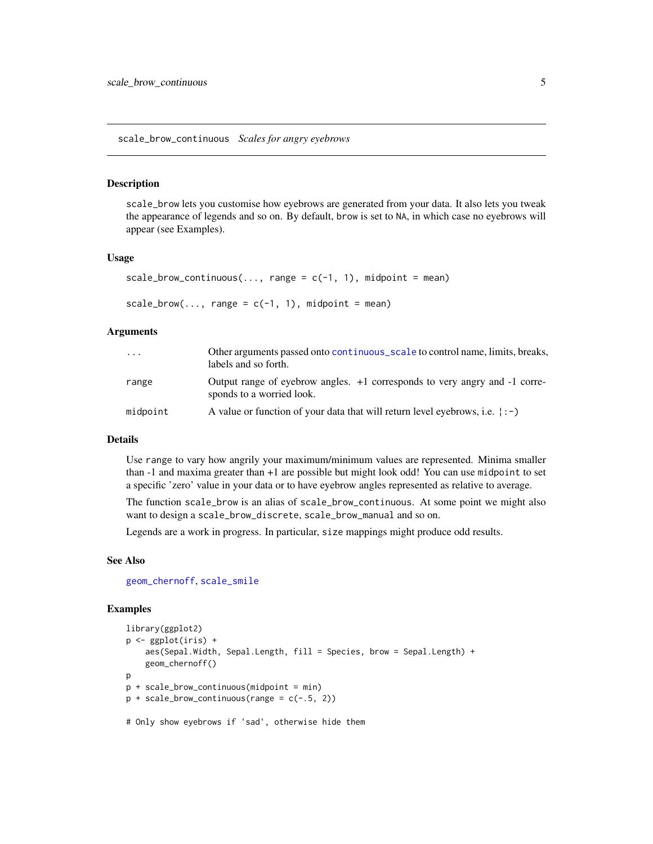<span id="page-4-0"></span>scale\_brow\_continuous *Scales for angry eyebrows*

#### <span id="page-4-1"></span>Description

scale\_brow lets you customise how eyebrows are generated from your data. It also lets you tweak the appearance of legends and so on. By default, brow is set to NA, in which case no eyebrows will appear (see Examples).

#### Usage

```
scale_brow_continuous(..., range = c(-1, 1), midpoint = mean)
```

```
scale\_brown(..., range = c(-1, 1), midpoint = mean)
```
#### Arguments

| $\cdots$ | Other arguments passed onto continuous_scale to control name, limits, breaks,<br>labels and so forth.   |
|----------|---------------------------------------------------------------------------------------------------------|
| range    | Output range of eyebrow angles. +1 corresponds to very angry and -1 corre-<br>sponds to a worried look. |
| midpoint | A value or function of your data that will return level evebrows, i.e. $ :-\rangle$                     |

#### Details

Use range to vary how angrily your maximum/minimum values are represented. Minima smaller than -1 and maxima greater than +1 are possible but might look odd! You can use midpoint to set a specific 'zero' value in your data or to have eyebrow angles represented as relative to average.

The function scale\_brow is an alias of scale\_brow\_continuous. At some point we might also want to design a scale\_brow\_discrete, scale\_brow\_manual and so on.

Legends are a work in progress. In particular, size mappings might produce odd results.

#### See Also

[geom\\_chernoff](#page-2-1), [scale\\_smile](#page-5-1)

```
library(ggplot2)
p <- ggplot(iris) +
    aes(Sepal.Width, Sepal.Length, fill = Species, brow = Sepal.Length) +
    geom_chernoff()
p
p + scale_brow_{continuous(midpoint = min)}p + scale_brow\_continuous(range = c(-.5, 2))# Only show eyebrows if 'sad', otherwise hide them
```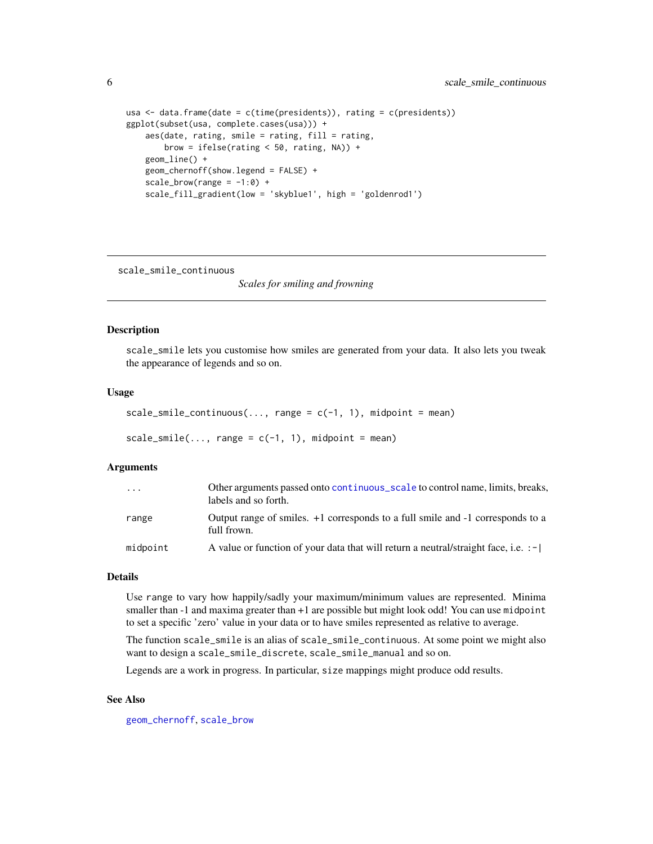```
usa \leq data.frame(date = c(time(presidents)), rating = c(presidents))
ggplot(subset(usa, complete.cases(usa))) +
    aes(date, rating, smile = rating, fill = rating,
        brow = ifelse(rating < 50, rating, NA)) +
    geom_line() +
   geom_chernoff(show.legend = FALSE) +
    scale\_brown(range = -1:0) +scale_fill_gradient(low = 'skyblue1', high = 'goldenrod1')
```
scale\_smile\_continuous

*Scales for smiling and frowning*

#### <span id="page-5-1"></span>Description

scale\_smile lets you customise how smiles are generated from your data. It also lets you tweak the appearance of legends and so on.

# Usage

```
scale_smile_continuous(..., range = c(-1, 1), midpoint = mean)
```

```
scale_smile(\ldots, range = c(-1, 1), midpoint = mean)
```
#### Arguments

| $\cdot$  | Other arguments passed onto continuous_scale to control name, limits, breaks,<br>labels and so forth. |
|----------|-------------------------------------------------------------------------------------------------------|
| range    | Output range of smiles. +1 corresponds to a full smile and -1 corresponds to a<br>full frown.         |
| midpoint | A value or function of your data that will return a neutral/straight face, i.e. $:- $                 |

#### Details

Use range to vary how happily/sadly your maximum/minimum values are represented. Minima smaller than -1 and maxima greater than +1 are possible but might look odd! You can use midpoint to set a specific 'zero' value in your data or to have smiles represented as relative to average.

The function scale\_smile is an alias of scale\_smile\_continuous. At some point we might also want to design a scale\_smile\_discrete, scale\_smile\_manual and so on.

Legends are a work in progress. In particular, size mappings might produce odd results.

#### See Also

[geom\\_chernoff](#page-2-1), [scale\\_brow](#page-4-1)

<span id="page-5-0"></span>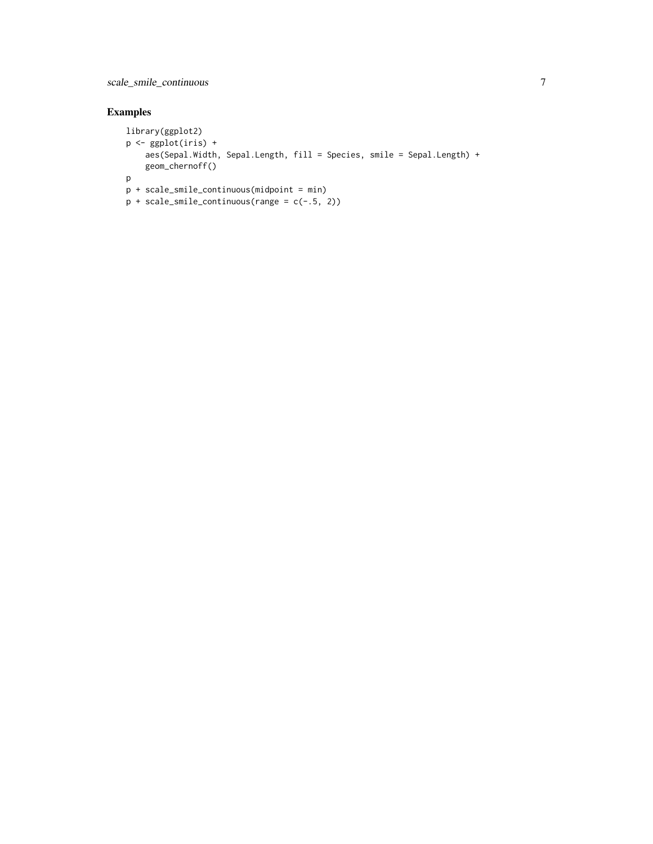```
library(ggplot2)
p <- ggplot(iris) +
    aes(Sepal.Width, Sepal.Length, fill = Species, smile = Sepal.Length) +
    geom_chernoff()
p
p + scale_smile_continuous(midpoint = min)
p + scale\_smile\_continuous(range = c(-.5, 2))
```